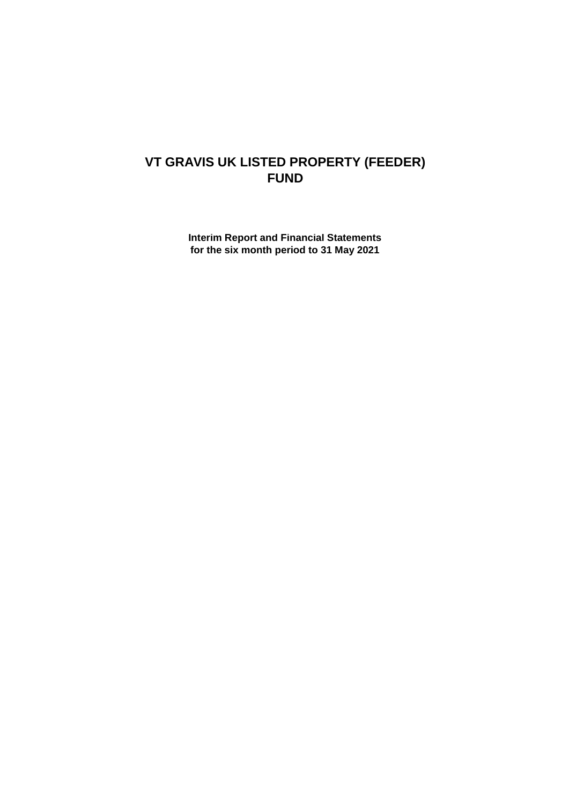# **VT GRAVIS UK LISTED PROPERTY (FEEDER) FUND**

**Interim Report and Financial Statements for the six month period to 31 May 2021**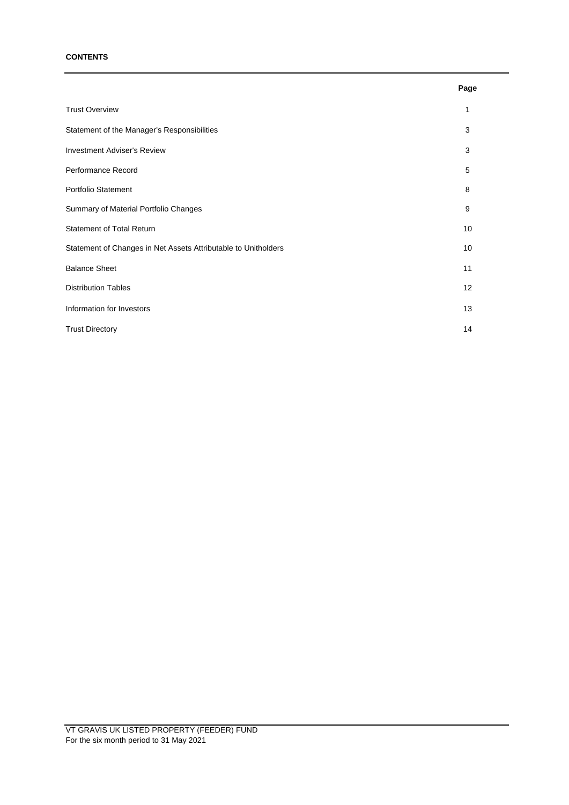## **CONTENTS**

|                                                                | Page |
|----------------------------------------------------------------|------|
| <b>Trust Overview</b>                                          | 1    |
| Statement of the Manager's Responsibilities                    | 3    |
| <b>Investment Adviser's Review</b>                             | 3    |
| Performance Record                                             | 5    |
| Portfolio Statement                                            | 8    |
| Summary of Material Portfolio Changes                          | 9    |
| <b>Statement of Total Return</b>                               | 10   |
| Statement of Changes in Net Assets Attributable to Unitholders | 10   |
| <b>Balance Sheet</b>                                           | 11   |
| <b>Distribution Tables</b>                                     | 12   |
| Information for Investors                                      | 13   |
| <b>Trust Directory</b>                                         | 14   |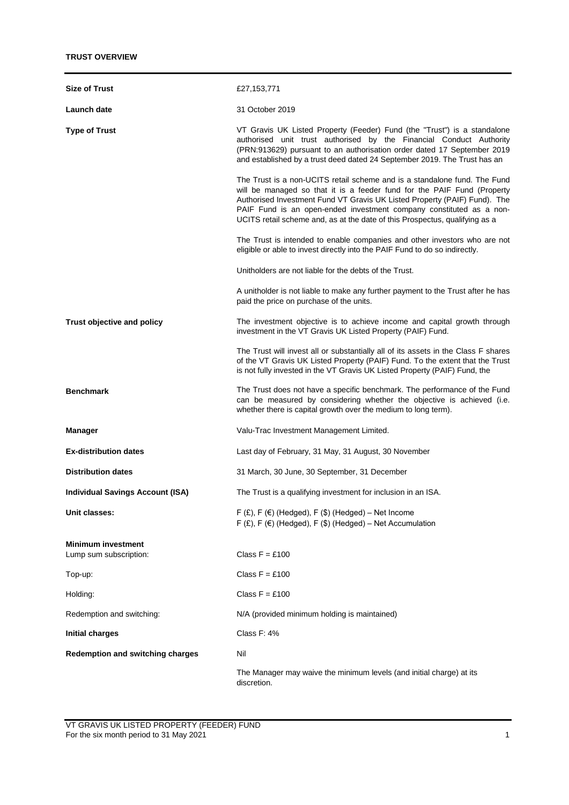| <b>Size of Trust</b>                                | £27,153,771                                                                                                                                                                                                                                                                                                                                                                             |
|-----------------------------------------------------|-----------------------------------------------------------------------------------------------------------------------------------------------------------------------------------------------------------------------------------------------------------------------------------------------------------------------------------------------------------------------------------------|
| Launch date                                         | 31 October 2019                                                                                                                                                                                                                                                                                                                                                                         |
| <b>Type of Trust</b>                                | VT Gravis UK Listed Property (Feeder) Fund (the "Trust") is a standalone<br>authorised unit trust authorised by the Financial Conduct Authority<br>(PRN:913629) pursuant to an authorisation order dated 17 September 2019<br>and established by a trust deed dated 24 September 2019. The Trust has an                                                                                 |
|                                                     | The Trust is a non-UCITS retail scheme and is a standalone fund. The Fund<br>will be managed so that it is a feeder fund for the PAIF Fund (Property<br>Authorised Investment Fund VT Gravis UK Listed Property (PAIF) Fund). The<br>PAIF Fund is an open-ended investment company constituted as a non-<br>UCITS retail scheme and, as at the date of this Prospectus, qualifying as a |
|                                                     | The Trust is intended to enable companies and other investors who are not<br>eligible or able to invest directly into the PAIF Fund to do so indirectly.                                                                                                                                                                                                                                |
|                                                     | Unitholders are not liable for the debts of the Trust.                                                                                                                                                                                                                                                                                                                                  |
|                                                     | A unitholder is not liable to make any further payment to the Trust after he has<br>paid the price on purchase of the units.                                                                                                                                                                                                                                                            |
| Trust objective and policy                          | The investment objective is to achieve income and capital growth through<br>investment in the VT Gravis UK Listed Property (PAIF) Fund.                                                                                                                                                                                                                                                 |
|                                                     | The Trust will invest all or substantially all of its assets in the Class F shares<br>of the VT Gravis UK Listed Property (PAIF) Fund. To the extent that the Trust<br>is not fully invested in the VT Gravis UK Listed Property (PAIF) Fund, the                                                                                                                                       |
| <b>Benchmark</b>                                    | The Trust does not have a specific benchmark. The performance of the Fund<br>can be measured by considering whether the objective is achieved (i.e.<br>whether there is capital growth over the medium to long term).                                                                                                                                                                   |
| <b>Manager</b>                                      | Valu-Trac Investment Management Limited.                                                                                                                                                                                                                                                                                                                                                |
| <b>Ex-distribution dates</b>                        | Last day of February, 31 May, 31 August, 30 November                                                                                                                                                                                                                                                                                                                                    |
| <b>Distribution dates</b>                           | 31 March, 30 June, 30 September, 31 December                                                                                                                                                                                                                                                                                                                                            |
| <b>Individual Savings Account (ISA)</b>             | The Trust is a qualifying investment for inclusion in an ISA.                                                                                                                                                                                                                                                                                                                           |
| Unit classes:                                       | F $(E)$ , F $(E)$ (Hedged), F $(\$)$ (Hedged) - Net Income<br>$F(f)$ , F $(f)$ (Hedged), F $(f)$ (Hedged) – Net Accumulation                                                                                                                                                                                                                                                            |
| <b>Minimum investment</b><br>Lump sum subscription: | Class $F = £100$                                                                                                                                                                                                                                                                                                                                                                        |
| Top-up:                                             | Class $F = £100$                                                                                                                                                                                                                                                                                                                                                                        |
| Holding:                                            | Class $F = £100$                                                                                                                                                                                                                                                                                                                                                                        |
| Redemption and switching:                           | N/A (provided minimum holding is maintained)                                                                                                                                                                                                                                                                                                                                            |
| <b>Initial charges</b>                              | Class F: 4%                                                                                                                                                                                                                                                                                                                                                                             |
| <b>Redemption and switching charges</b>             | Nil                                                                                                                                                                                                                                                                                                                                                                                     |
|                                                     | The Manager may waive the minimum levels (and initial charge) at its<br>discretion.                                                                                                                                                                                                                                                                                                     |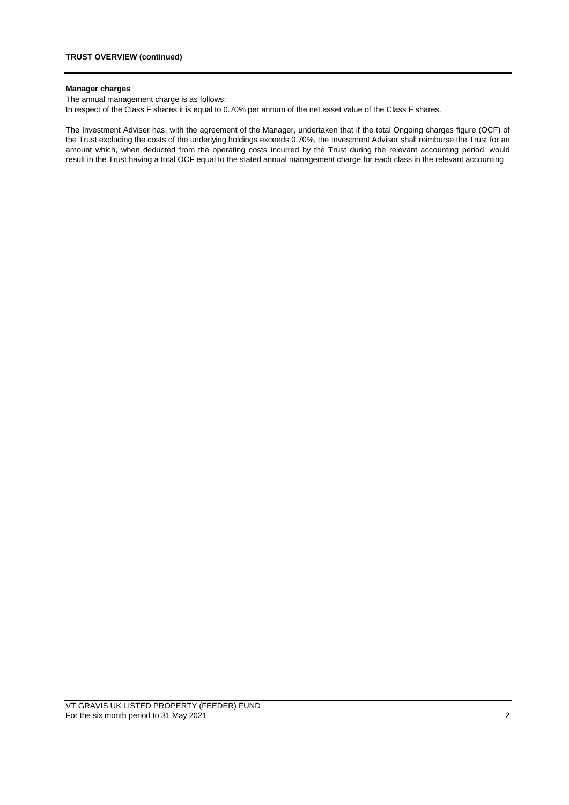## **Manager charges**

The annual management charge is as follows:

In respect of the Class F shares it is equal to 0.70% per annum of the net asset value of the Class F shares.

The Investment Adviser has, with the agreement of the Manager, undertaken that if the total Ongoing charges figure (OCF) of the Trust excluding the costs of the underlying holdings exceeds 0.70%, the Investment Adviser shall reimburse the Trust for an amount which, when deducted from the operating costs incurred by the Trust during the relevant accounting period, would result in the Trust having a total OCF equal to the stated annual management charge for each class in the relevant accounting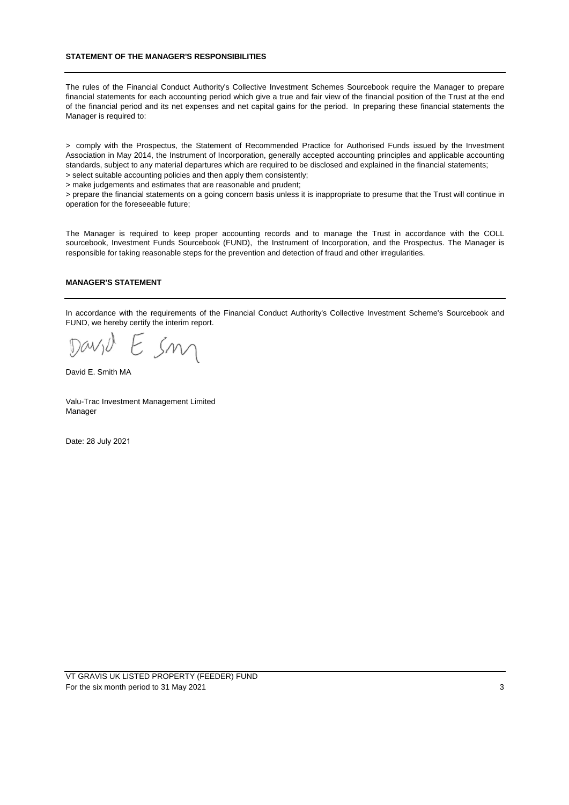## **STATEMENT OF THE MANAGER'S RESPONSIBILITIES**

The rules of the Financial Conduct Authority's Collective Investment Schemes Sourcebook require the Manager to prepare financial statements for each accounting period which give a true and fair view of the financial position of the Trust at the end of the financial period and its net expenses and net capital gains for the period. In preparing these financial statements the Manager is required to:

> comply with the Prospectus, the Statement of Recommended Practice for Authorised Funds issued by the Investment Association in May 2014, the Instrument of Incorporation, generally accepted accounting principles and applicable accounting standards, subject to any material departures which are required to be disclosed and explained in the financial statements; > select suitable accounting policies and then apply them consistently;

> make judgements and estimates that are reasonable and prudent;

> prepare the financial statements on a going concern basis unless it is inappropriate to presume that the Trust will continue in operation for the foreseeable future;

The Manager is required to keep proper accounting records and to manage the Trust in accordance with the COLL sourcebook, Investment Funds Sourcebook (FUND), the Instrument of Incorporation, and the Prospectus. The Manager is responsible for taking reasonable steps for the prevention and detection of fraud and other irregularities.

## **MANAGER'S STATEMENT**

In accordance with the requirements of the Financial Conduct Authority's Collective Investment Scheme's Sourcebook and FUND, we hereby certify the interim report.

 $\overline{\phantom{a}}$  $sm$ 

David E. Smith MA

Valu-Trac Investment Management Limited Manager

Date: 28 July 2021

VT GRAVIS UK LISTED PROPERTY (FEEDER) FUND For the six month period to 31 May 2021 3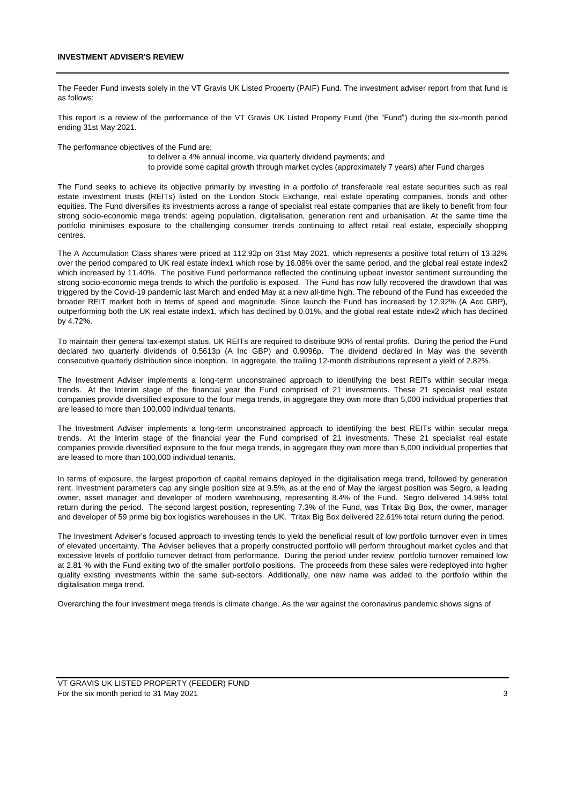#### **INVESTMENT ADVISER'S REVIEW**

The Feeder Fund invests solely in the VT Gravis UK Listed Property (PAIF) Fund. The investment adviser report from that fund is as follows:

This report is a review of the performance of the VT Gravis UK Listed Property Fund (the "Fund") during the six-month period ending 31st May 2021.

The performance objectives of the Fund are:

to deliver a 4% annual income, via quarterly dividend payments; and to provide some capital growth through market cycles (approximately 7 years) after Fund charges

The Fund seeks to achieve its objective primarily by investing in a portfolio of transferable real estate securities such as real estate investment trusts (REITs) listed on the London Stock Exchange, real estate operating companies, bonds and other equities. The Fund diversifies its investments across a range of specialist real estate companies that are likely to benefit from four strong socio-economic mega trends: ageing population, digitalisation, generation rent and urbanisation. At the same time the portfolio minimises exposure to the challenging consumer trends continuing to affect retail real estate, especially shopping centres.

The A Accumulation Class shares were priced at 112.92p on 31st May 2021, which represents a positive total return of 13.32% over the period compared to UK real estate index1 which rose by 16.08% over the same period, and the global real estate index2 which increased by 11.40%. The positive Fund performance reflected the continuing upbeat investor sentiment surrounding the strong socio-economic mega trends to which the portfolio is exposed. The Fund has now fully recovered the drawdown that was triggered by the Covid-19 pandemic last March and ended May at a new all-time high. The rebound of the Fund has exceeded the broader REIT market both in terms of speed and magnitude. Since launch the Fund has increased by 12.92% (A Acc GBP), outperforming both the UK real estate index1, which has declined by 0.01%, and the global real estate index2 which has declined by 4.72%.

To maintain their general tax-exempt status, UK REITs are required to distribute 90% of rental profits. During the period the Fund declared two quarterly dividends of 0.5613p (A Inc GBP) and 0.9096p. The dividend declared in May was the seventh consecutive quarterly distribution since inception. In aggregate, the trailing 12-month distributions represent a yield of 2.82%.

The Investment Adviser implements a long-term unconstrained approach to identifying the best REITs within secular mega trends. At the Interim stage of the financial year the Fund comprised of 21 investments. These 21 specialist real estate companies provide diversified exposure to the four mega trends, in aggregate they own more than 5,000 individual properties that are leased to more than 100,000 individual tenants.

The Investment Adviser implements a long-term unconstrained approach to identifying the best REITs within secular mega trends. At the Interim stage of the financial year the Fund comprised of 21 investments. These 21 specialist real estate companies provide diversified exposure to the four mega trends, in aggregate they own more than 5,000 individual properties that are leased to more than 100,000 individual tenants.

In terms of exposure, the largest proportion of capital remains deployed in the digitalisation mega trend, followed by generation rent. Investment parameters cap any single position size at 9.5%, as at the end of May the largest position was Segro, a leading owner, asset manager and developer of modern warehousing, representing 8.4% of the Fund. Segro delivered 14.98% total return during the period. The second largest position, representing 7.3% of the Fund, was Tritax Big Box, the owner, manager and developer of 59 prime big box logistics warehouses in the UK. Tritax Big Box delivered 22.61% total return during the period.

The Investment Adviser's focused approach to investing tends to yield the beneficial result of low portfolio turnover even in times of elevated uncertainty. The Adviser believes that a properly constructed portfolio will perform throughout market cycles and that excessive levels of portfolio turnover detract from performance. During the period under review, portfolio turnover remained low at 2.81 % with the Fund exiting two of the smaller portfolio positions. The proceeds from these sales were redeployed into higher quality existing investments within the same sub-sectors. Additionally, one new name was added to the portfolio within the digitalisation mega trend.

Overarching the four investment mega trends is climate change. As the war against the coronavirus pandemic shows signs of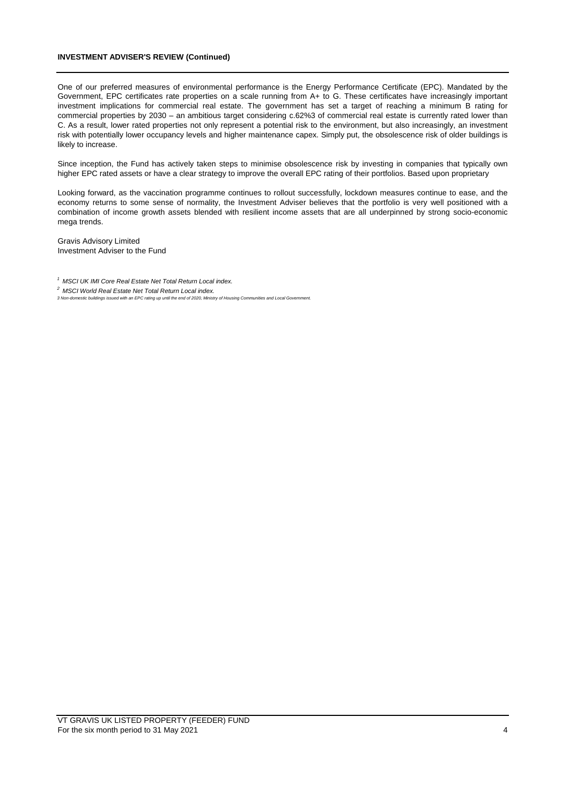## **INVESTMENT ADVISER'S REVIEW (Continued)**

One of our preferred measures of environmental performance is the Energy Performance Certificate (EPC). Mandated by the Government, EPC certificates rate properties on a scale running from A+ to G. These certificates have increasingly important investment implications for commercial real estate. The government has set a target of reaching a minimum B rating for commercial properties by 2030 – an ambitious target considering c.62%3 of commercial real estate is currently rated lower than C. As a result, lower rated properties not only represent a potential risk to the environment, but also increasingly, an investment risk with potentially lower occupancy levels and higher maintenance capex. Simply put, the obsolescence risk of older buildings is likely to increase.

Since inception, the Fund has actively taken steps to minimise obsolescence risk by investing in companies that typically own higher EPC rated assets or have a clear strategy to improve the overall EPC rating of their portfolios. Based upon proprietary

Looking forward, as the vaccination programme continues to rollout successfully, lockdown measures continue to ease, and the economy returns to some sense of normality, the Investment Adviser believes that the portfolio is very well positioned with a combination of income growth assets blended with resilient income assets that are all underpinned by strong socio-economic mega trends.

Gravis Advisory Limited Investment Adviser to the Fund

- *2 MSCI World Real Estate Net Total Return Local index.*
- *3 Non-domestic buildings issued with an EPC rating up until the end of 2020, Ministry of Housing Communities and Local Government.*

*<sup>1</sup> MSCI UK IMI Core Real Estate Net Total Return Local index.*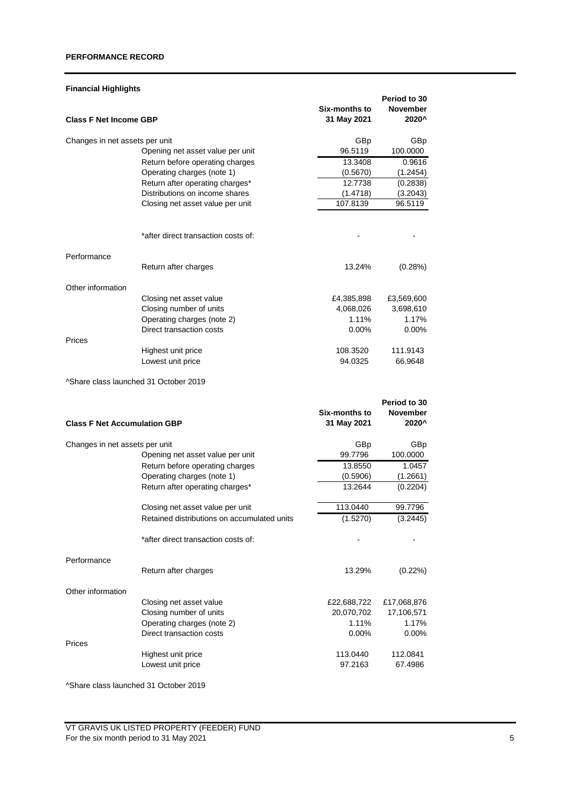## **PERFORMANCE RECORD**

## **Financial Highlights**

| <b>Class F Net Income GBP</b>         |                                             | <b>Six-months to</b><br>31 May 2021 | Period to 30<br>November<br>2020^ |
|---------------------------------------|---------------------------------------------|-------------------------------------|-----------------------------------|
| Changes in net assets per unit        |                                             | GBp                                 | GBp                               |
|                                       | Opening net asset value per unit            | 96.5119                             | 100.0000                          |
|                                       | Return before operating charges             | 13.3408                             | 0.9616                            |
|                                       | Operating charges (note 1)                  | (0.5670)                            | (1.2454)                          |
|                                       | Return after operating charges*             | 12.7738                             | (0.2838)                          |
|                                       | Distributions on income shares              | (1.4718)                            | (3.2043)                          |
|                                       | Closing net asset value per unit            | 107.8139                            | 96.5119                           |
|                                       | *after direct transaction costs of:         |                                     |                                   |
| Performance                           |                                             |                                     |                                   |
|                                       | Return after charges                        | 13.24%                              | (0.28%)                           |
| Other information                     |                                             |                                     |                                   |
|                                       | Closing net asset value                     | £4,385,898                          | £3,569,600                        |
|                                       | Closing number of units                     | 4,068,026                           | 3,698,610                         |
|                                       | Operating charges (note 2)                  | 1.11%                               | 1.17%                             |
|                                       | Direct transaction costs                    | $0.00\%$                            | $0.00\%$                          |
| Prices                                |                                             |                                     |                                   |
|                                       | Highest unit price<br>Lowest unit price     | 108.3520<br>94.0325                 | 111.9143<br>66.9648               |
|                                       |                                             |                                     |                                   |
| ^Share class launched 31 October 2019 |                                             |                                     |                                   |
|                                       |                                             | <b>Six-months to</b>                | Period to 30<br>November          |
| <b>Class F Net Accumulation GBP</b>   |                                             | 31 May 2021                         | 2020^                             |
| Changes in net assets per unit        |                                             | GBp                                 | GBp                               |
|                                       | Opening net asset value per unit            | 99.7796                             | 100.0000                          |
|                                       | Return before operating charges             | 13.8550                             | 1.0457                            |
|                                       | Operating charges (note 1)                  | (0.5906)                            | (1.2661)                          |
|                                       | Return after operating charges*             | 13.2644                             | (0.2204)                          |
|                                       | Closing net asset value per unit            | 113.0440                            | 99.7796                           |
|                                       | Retained distributions on accumulated units | (1.5270)                            | (3.2445)                          |
|                                       | *after direct transaction costs of:         |                                     |                                   |
| Performance                           |                                             |                                     |                                   |
|                                       | Return after charges                        | 13.29%                              | (0.22%)                           |
| Other information                     |                                             |                                     |                                   |
|                                       | Closing net asset value                     | £22,688,722                         | £17,068,876                       |
|                                       | Closing number of units                     | 20,070,702                          | 17,106,571                        |
|                                       | Operating charges (note 2)                  | 1.11%                               | 1.17%                             |
|                                       | Direct transaction costs                    | 0.00%                               | 0.00%                             |
| Prices                                |                                             |                                     |                                   |
|                                       | Highest unit price                          | 113.0440<br>97.2163                 | 112.0841<br>67.4986               |
|                                       | Lowest unit price                           |                                     |                                   |

^Share class launched 31 October 2019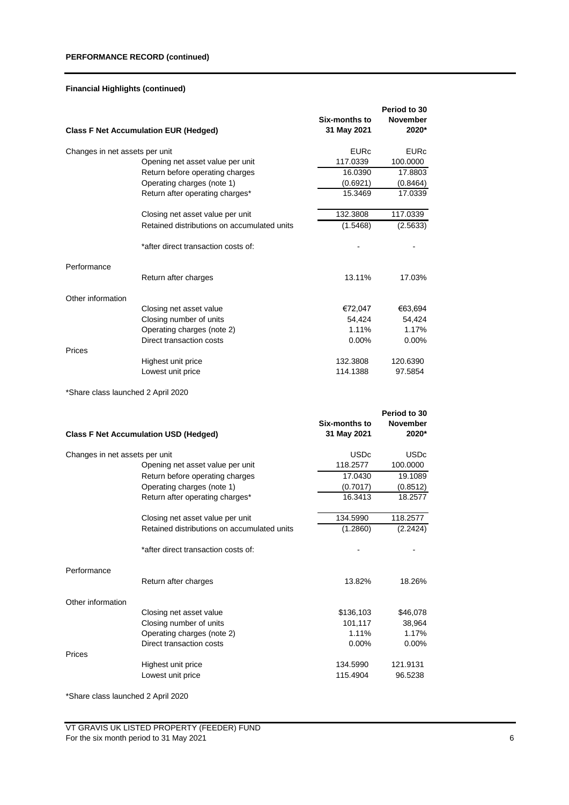## **Financial Highlights (continued)**

|                                | <b>Class F Net Accumulation EUR (Hedged)</b> | Six-months to<br>31 May 2021 | Period to 30<br><b>November</b><br>2020* |
|--------------------------------|----------------------------------------------|------------------------------|------------------------------------------|
| Changes in net assets per unit |                                              | <b>FURc</b>                  | <b>EURc</b>                              |
|                                | Opening net asset value per unit             | 117.0339                     | 100.0000                                 |
|                                | Return before operating charges              | 16.0390                      | 17.8803                                  |
|                                | Operating charges (note 1)                   | (0.6921)                     | (0.8464)                                 |
|                                | Return after operating charges*              | 15.3469                      | 17.0339                                  |
|                                | Closing net asset value per unit             | 132.3808                     | 117.0339                                 |
|                                | Retained distributions on accumulated units  | (1.5468)                     | (2.5633)                                 |
|                                | *after direct transaction costs of:          |                              |                                          |
| Performance                    |                                              |                              |                                          |
|                                | Return after charges                         | 13.11%                       | 17.03%                                   |
| Other information              |                                              |                              |                                          |
|                                | Closing net asset value                      | €72,047                      | €63,694                                  |
|                                | Closing number of units                      | 54,424                       | 54,424                                   |
|                                | Operating charges (note 2)                   | 1.11%                        | 1.17%                                    |
|                                | Direct transaction costs                     | $0.00\%$                     | $0.00\%$                                 |
| Prices                         |                                              |                              |                                          |
|                                | Highest unit price                           | 132.3808                     | 120.6390                                 |
|                                | Lowest unit price                            | 114.1388                     | 97.5854                                  |
|                                |                                              |                              |                                          |

\*Share class launched 2 April 2020

|                                | <b>Class F Net Accumulation USD (Hedged)</b> | Six-months to<br>31 May 2021 | Period to 30<br><b>November</b><br>2020* |
|--------------------------------|----------------------------------------------|------------------------------|------------------------------------------|
| Changes in net assets per unit |                                              | <b>USDc</b>                  | <b>USDc</b>                              |
|                                | Opening net asset value per unit             | 118.2577                     | 100.0000                                 |
|                                | Return before operating charges              | 17.0430                      | 19.1089                                  |
|                                | Operating charges (note 1)                   | (0.7017)                     | (0.8512)                                 |
|                                | Return after operating charges*              | 16.3413                      | 18.2577                                  |
|                                | Closing net asset value per unit             | 134.5990                     | 118.2577                                 |
|                                | Retained distributions on accumulated units  | (1.2860)                     | (2.2424)                                 |
|                                | *after direct transaction costs of:          |                              |                                          |
| Performance                    | Return after charges                         | 13.82%                       | 18.26%                                   |
| Other information              |                                              |                              |                                          |
|                                | Closing net asset value                      | \$136,103                    | \$46,078                                 |
|                                | Closing number of units                      | 101,117                      | 38,964                                   |
|                                | Operating charges (note 2)                   | 1.11%                        | 1.17%                                    |
|                                | Direct transaction costs                     | 0.00%                        | 0.00%                                    |
| Prices                         | Highest unit price<br>Lowest unit price      | 134.5990<br>115.4904         | 121.9131<br>96.5238                      |
|                                |                                              |                              |                                          |

\*Share class launched 2 April 2020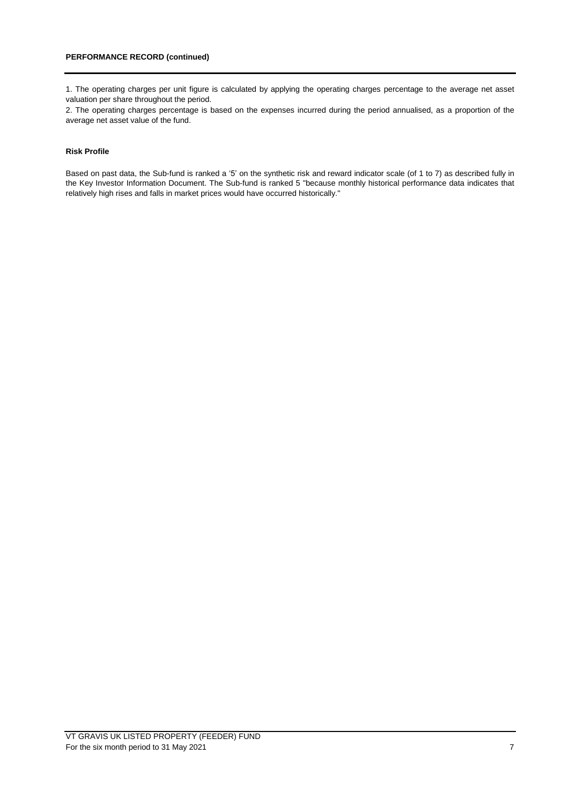1. The operating charges per unit figure is calculated by applying the operating charges percentage to the average net asset valuation per share throughout the period.

2. The operating charges percentage is based on the expenses incurred during the period annualised, as a proportion of the average net asset value of the fund.

## **Risk Profile**

Based on past data, the Sub-fund is ranked a '5' on the synthetic risk and reward indicator scale (of 1 to 7) as described fully in the Key Investor Information Document. The Sub-fund is ranked 5 "because monthly historical performance data indicates that relatively high rises and falls in market prices would have occurred historically."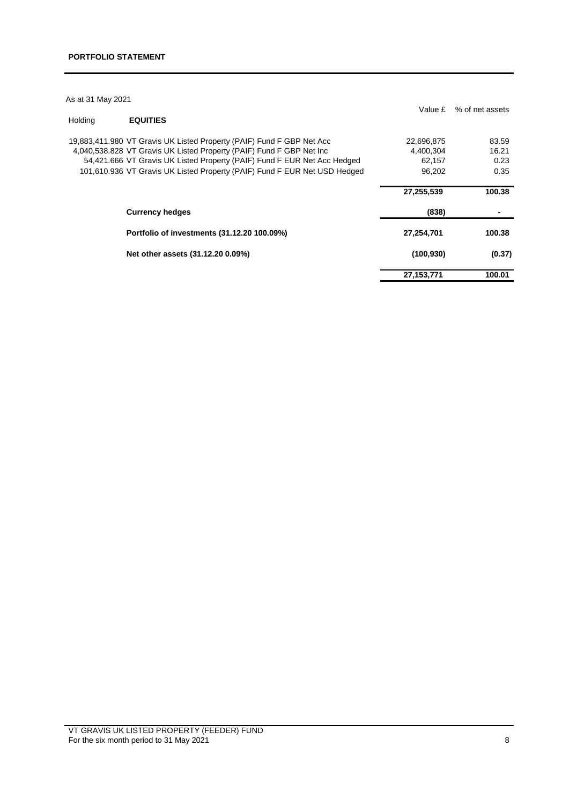| As at 31 May 2021 |                                                                           |              |                 |
|-------------------|---------------------------------------------------------------------------|--------------|-----------------|
| Holding           | <b>EQUITIES</b>                                                           | Value £      | % of net assets |
|                   | 19,883,411.980 VT Gravis UK Listed Property (PAIF) Fund F GBP Net Acc     | 22,696,875   | 83.59           |
|                   | 4,040,538.828 VT Gravis UK Listed Property (PAIF) Fund F GBP Net Inc      | 4,400,304    | 16.21           |
|                   | 54,421.666 VT Gravis UK Listed Property (PAIF) Fund F EUR Net Acc Hedged  | 62,157       | 0.23            |
|                   | 101,610.936 VT Gravis UK Listed Property (PAIF) Fund F EUR Net USD Hedged | 96.202       | 0.35            |
|                   |                                                                           | 27,255,539   | 100.38          |
|                   | <b>Currency hedges</b>                                                    | (838)        |                 |
|                   | Portfolio of investments (31.12.20 100.09%)                               | 27,254,701   | 100.38          |
|                   | Net other assets (31.12.20 0.09%)                                         | (100, 930)   | (0.37)          |
|                   |                                                                           | 27, 153, 771 | 100.01          |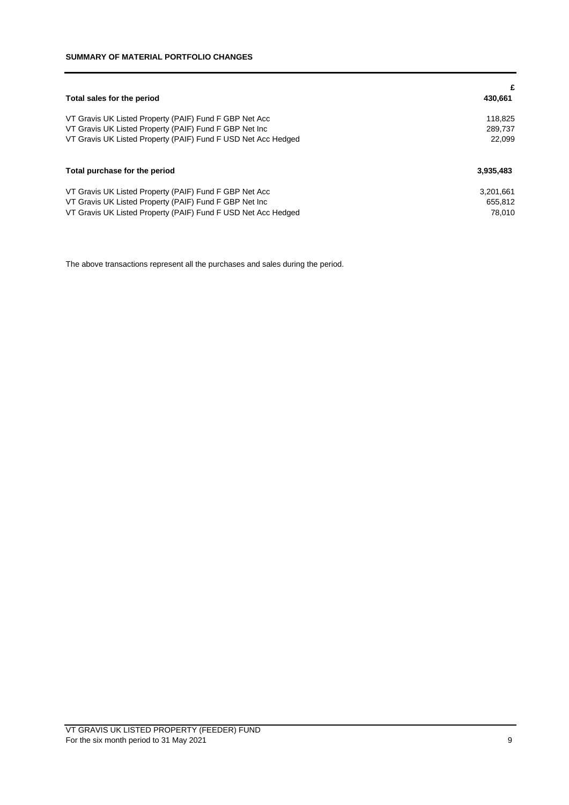| Total sales for the period                                    | £<br>430,661 |
|---------------------------------------------------------------|--------------|
| VT Gravis UK Listed Property (PAIF) Fund F GBP Net Acc        | 118,825      |
| VT Gravis UK Listed Property (PAIF) Fund F GBP Net Inc        | 289.737      |
| VT Gravis UK Listed Property (PAIF) Fund F USD Net Acc Hedged | 22.099       |
| Total purchase for the period                                 | 3,935,483    |
| VT Gravis UK Listed Property (PAIF) Fund F GBP Net Acc        | 3,201,661    |
| VT Gravis UK Listed Property (PAIF) Fund F GBP Net Inc        | 655.812      |
| VT Gravis UK Listed Property (PAIF) Fund F USD Net Acc Hedged | 78.010       |

The above transactions represent all the purchases and sales during the period.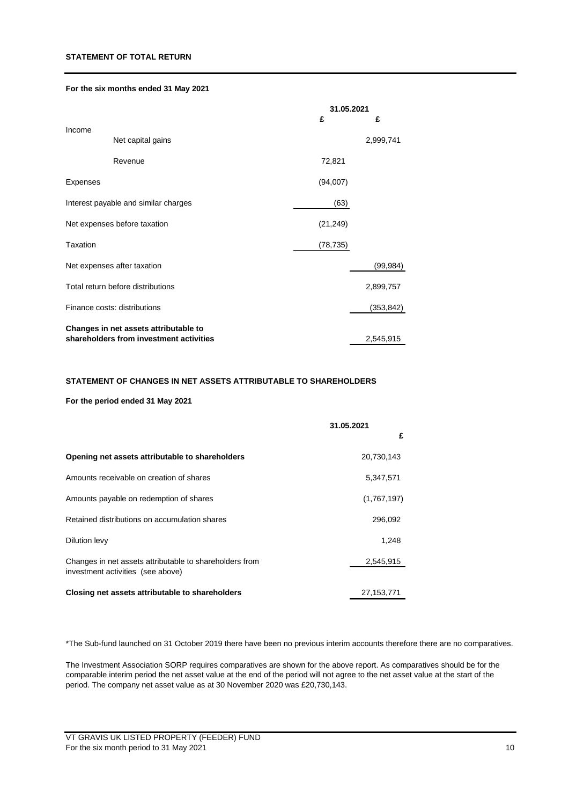## **STATEMENT OF TOTAL RETURN**

## **For the six months ended 31 May 2021**

|          |                                         | 31.05.2021 |            |
|----------|-----------------------------------------|------------|------------|
|          |                                         | £          | £          |
| Income   | Net capital gains                       |            | 2,999,741  |
|          | Revenue                                 | 72,821     |            |
| Expenses |                                         | (94,007)   |            |
|          | Interest payable and similar charges    | (63)       |            |
|          | Net expenses before taxation            | (21, 249)  |            |
| Taxation |                                         | (78, 735)  |            |
|          | Net expenses after taxation             |            | (99, 984)  |
|          | Total return before distributions       |            | 2,899,757  |
|          | Finance costs: distributions            |            | (353, 842) |
|          | Changes in net assets attributable to   |            |            |
|          | shareholders from investment activities |            | 2,545,915  |

#### **STATEMENT OF CHANGES IN NET ASSETS ATTRIBUTABLE TO SHAREHOLDERS**

## **For the period ended 31 May 2021**

|                                                                                              | 31.05.2021  |
|----------------------------------------------------------------------------------------------|-------------|
|                                                                                              | £           |
| Opening net assets attributable to shareholders                                              | 20,730,143  |
| Amounts receivable on creation of shares                                                     | 5,347,571   |
| Amounts payable on redemption of shares                                                      | (1,767,197) |
| Retained distributions on accumulation shares                                                | 296,092     |
| Dilution levy                                                                                | 1,248       |
| Changes in net assets attributable to shareholders from<br>investment activities (see above) | 2,545,915   |
| Closing net assets attributable to shareholders                                              | 27.153.771  |

\*The Sub-fund launched on 31 October 2019 there have been no previous interim accounts therefore there are no comparatives.

The Investment Association SORP requires comparatives are shown for the above report. As comparatives should be for the comparable interim period the net asset value at the end of the period will not agree to the net asset value at the start of the period. The company net asset value as at 30 November 2020 was £20,730,143.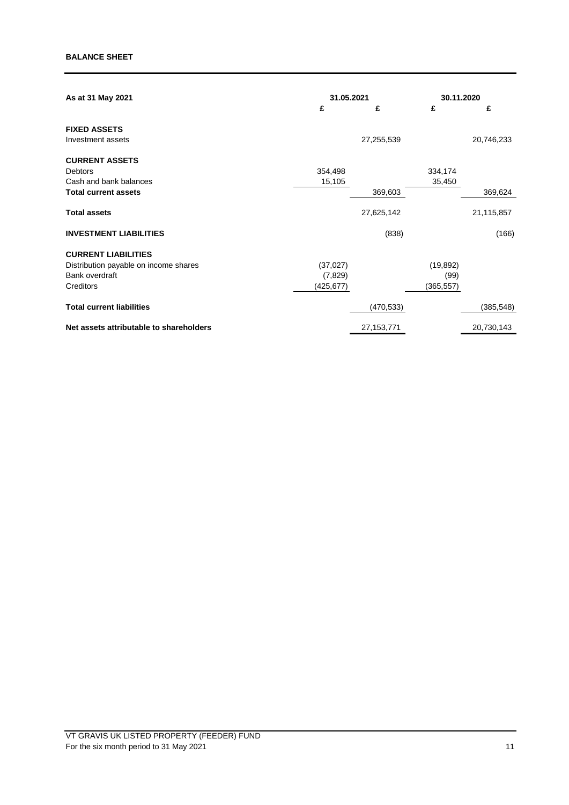| As at 31 May 2021                       | 31.05.2021 |              |            | 30.11.2020 |  |
|-----------------------------------------|------------|--------------|------------|------------|--|
|                                         | £          | £            | £          | £          |  |
| <b>FIXED ASSETS</b>                     |            |              |            |            |  |
| Investment assets                       |            | 27,255,539   |            | 20,746,233 |  |
| <b>CURRENT ASSETS</b>                   |            |              |            |            |  |
| Debtors                                 | 354,498    |              | 334,174    |            |  |
| Cash and bank balances                  | 15,105     |              | 35,450     |            |  |
| <b>Total current assets</b>             |            | 369,603      |            | 369,624    |  |
| <b>Total assets</b>                     |            | 27,625,142   |            | 21,115,857 |  |
| <b>INVESTMENT LIABILITIES</b>           |            | (838)        |            | (166)      |  |
| <b>CURRENT LIABILITIES</b>              |            |              |            |            |  |
| Distribution payable on income shares   | (37, 027)  |              | (19, 892)  |            |  |
| Bank overdraft                          | (7,829)    |              | (99)       |            |  |
| Creditors                               | (425, 677) |              | (365, 557) |            |  |
| <b>Total current liabilities</b>        |            | (470, 533)   |            | (385, 548) |  |
| Net assets attributable to shareholders |            | 27, 153, 771 |            | 20,730,143 |  |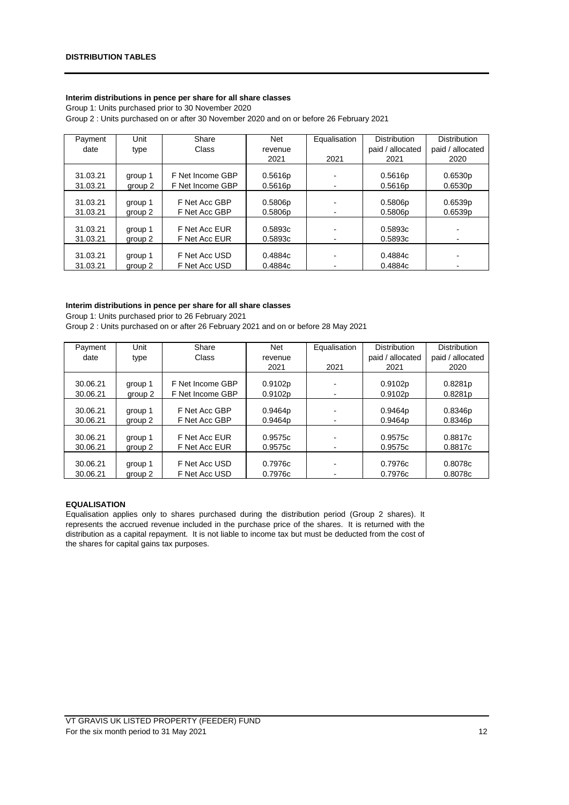## **Interim distributions in pence per share for all share classes**

Group 1: Units purchased prior to 30 November 2020 Group 2 : Units purchased on or after 30 November 2020 and on or before 26 February 2021

| Payment  | Unit    | Share            | Net     | Equalisation | <b>Distribution</b> | <b>Distribution</b> |
|----------|---------|------------------|---------|--------------|---------------------|---------------------|
| date     | type    | Class            | revenue |              | paid / allocated    | paid / allocated    |
|          |         |                  | 2021    | 2021         | 2021                | 2020                |
|          |         |                  |         |              |                     |                     |
| 31.03.21 | group 1 | F Net Income GBP | 0.5616p |              | 0.5616p             | 0.6530p             |
| 31.03.21 | group 2 | F Net Income GBP | 0.5616p |              | 0.5616p             | 0.6530p             |
|          |         |                  |         |              |                     |                     |
| 31.03.21 | group 1 | F Net Acc GBP    | 0.5806p |              | 0.5806p             | 0.6539p             |
| 31.03.21 | group 2 | F Net Acc GBP    | 0.5806p |              | 0.5806p             | 0.6539p             |
|          |         |                  |         |              |                     |                     |
| 31.03.21 | group 1 | F Net Acc EUR    | 0.5893c |              | 0.5893c             |                     |
| 31.03.21 | group 2 | F Net Acc EUR    | 0.5893c |              | 0.5893c             |                     |
|          |         |                  |         |              |                     |                     |
| 31.03.21 | group 1 | F Net Acc USD    | 0.4884c |              | 0.4884c             |                     |
| 31.03.21 | group 2 | F Net Acc USD    | 0.4884c |              | 0.4884c             |                     |

## **Interim distributions in pence per share for all share classes**

Group 1: Units purchased prior to 26 February 2021

| Group 2 : Units purchased on or after 26 February 2021 and on or before 28 May 2021 |  |
|-------------------------------------------------------------------------------------|--|
|-------------------------------------------------------------------------------------|--|

| Payment  | Unit    | Share            | <b>Net</b> | Equalisation | <b>Distribution</b> | <b>Distribution</b> |
|----------|---------|------------------|------------|--------------|---------------------|---------------------|
| date     | type    | Class            | revenue    |              | paid / allocated    | paid / allocated    |
|          |         |                  | 2021       | 2021         | 2021                | 2020                |
|          |         |                  |            |              |                     |                     |
| 30.06.21 | group 1 | F Net Income GBP | 0.9102p    |              | 0.9102p             | 0.8281p             |
| 30.06.21 | group 2 | F Net Income GBP | 0.9102p    |              | 0.9102p             | 0.8281 <sub>p</sub> |
|          |         |                  |            |              |                     |                     |
| 30.06.21 | group 1 | F Net Acc GBP    | 0.9464p    |              | 0.9464p             | 0.8346p             |
| 30.06.21 | group 2 | F Net Acc GBP    | 0.9464p    |              | 0.9464p             | 0.8346p             |
|          |         |                  |            |              |                     |                     |
| 30.06.21 | group 1 | F Net Acc EUR    | 0.9575c    |              | 0.9575c             | 0.8817c             |
| 30.06.21 | group 2 | F Net Acc EUR    | 0.9575c    |              | 0.9575c             | 0.8817c             |
|          |         |                  |            |              |                     |                     |
| 30.06.21 | group 1 | F Net Acc USD    | 0.7976c    |              | 0.7976c             | 0.8078c             |
| 30.06.21 | group 2 | F Net Acc USD    | 0.7976c    |              | 0.7976c             | 0.8078c             |

#### **EQUALISATION**

Equalisation applies only to shares purchased during the distribution period (Group 2 shares). It represents the accrued revenue included in the purchase price of the shares. It is returned with the distribution as a capital repayment. It is not liable to income tax but must be deducted from the cost of the shares for capital gains tax purposes.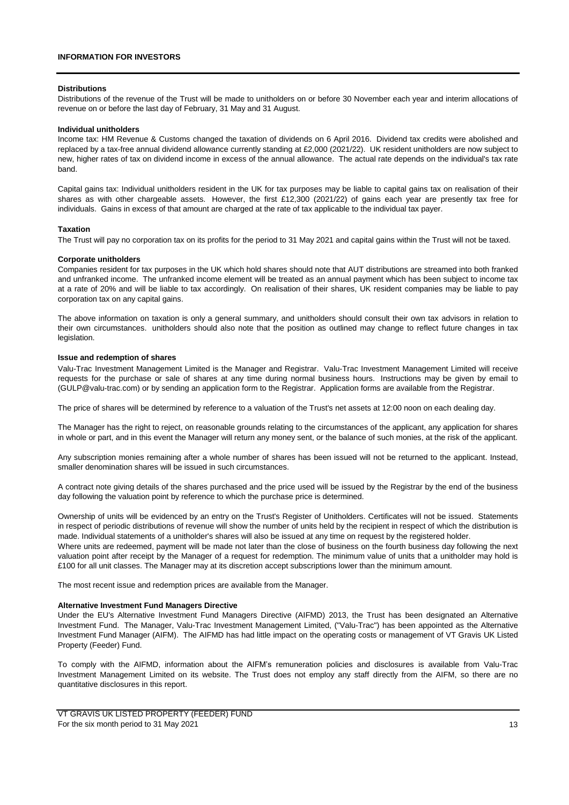#### **Distributions**

Distributions of the revenue of the Trust will be made to unitholders on or before 30 November each year and interim allocations of revenue on or before the last day of February, 31 May and 31 August.

#### **Individual unitholders**

Income tax: HM Revenue & Customs changed the taxation of dividends on 6 April 2016. Dividend tax credits were abolished and replaced by a tax-free annual dividend allowance currently standing at £2,000 (2021/22). UK resident unitholders are now subject to new, higher rates of tax on dividend income in excess of the annual allowance. The actual rate depends on the individual's tax rate band.

Capital gains tax: Individual unitholders resident in the UK for tax purposes may be liable to capital gains tax on realisation of their shares as with other chargeable assets. However, the first £12,300 (2021/22) of gains each year are presently tax free for individuals. Gains in excess of that amount are charged at the rate of tax applicable to the individual tax payer.

#### **Taxation**

The Trust will pay no corporation tax on its profits for the period to 31 May 2021 and capital gains within the Trust will not be taxed.

#### **Corporate unitholders**

Companies resident for tax purposes in the UK which hold shares should note that AUT distributions are streamed into both franked and unfranked income. The unfranked income element will be treated as an annual payment which has been subject to income tax at a rate of 20% and will be liable to tax accordingly. On realisation of their shares, UK resident companies may be liable to pay corporation tax on any capital gains.

The above information on taxation is only a general summary, and unitholders should consult their own tax advisors in relation to their own circumstances. unitholders should also note that the position as outlined may change to reflect future changes in tax legislation.

#### **Issue and redemption of shares**

Valu-Trac Investment Management Limited is the Manager and Registrar. Valu-Trac Investment Management Limited will receive requests for the purchase or sale of shares at any time during normal business hours. Instructions may be given by email to (GULP@valu-trac.com) or by sending an application form to the Registrar. Application forms are available from the Registrar.

The price of shares will be determined by reference to a valuation of the Trust's net assets at 12:00 noon on each dealing day.

The Manager has the right to reject, on reasonable grounds relating to the circumstances of the applicant, any application for shares in whole or part, and in this event the Manager will return any money sent, or the balance of such monies, at the risk of the applicant.

Any subscription monies remaining after a whole number of shares has been issued will not be returned to the applicant. Instead, smaller denomination shares will be issued in such circumstances.

A contract note giving details of the shares purchased and the price used will be issued by the Registrar by the end of the business day following the valuation point by reference to which the purchase price is determined.

Ownership of units will be evidenced by an entry on the Trust's Register of Unitholders. Certificates will not be issued. Statements in respect of periodic distributions of revenue will show the number of units held by the recipient in respect of which the distribution is made. Individual statements of a unitholder's shares will also be issued at any time on request by the registered holder.

Where units are redeemed, payment will be made not later than the close of business on the fourth business day following the next valuation point after receipt by the Manager of a request for redemption. The minimum value of units that a unitholder may hold is £100 for all unit classes. The Manager may at its discretion accept subscriptions lower than the minimum amount.

The most recent issue and redemption prices are available from the Manager.

#### **Alternative Investment Fund Managers Directive**

Under the EU's Alternative Investment Fund Managers Directive (AIFMD) 2013, the Trust has been designated an Alternative Investment Fund. The Manager, Valu-Trac Investment Management Limited, ("Valu-Trac") has been appointed as the Alternative Investment Fund Manager (AIFM). The AIFMD has had little impact on the operating costs or management of VT Gravis UK Listed Property (Feeder) Fund.

To comply with the AIFMD, information about the AIFM's remuneration policies and disclosures is available from Valu-Trac Investment Management Limited on its website. The Trust does not employ any staff directly from the AIFM, so there are no quantitative disclosures in this report.